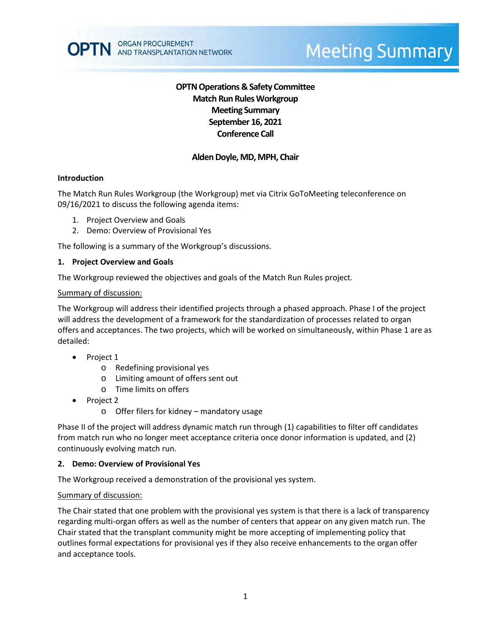# **OPTN Operations & Safety Committee Match Run RulesWorkgroup Meeting Summary September 16, 2021 Conference Call**

## **Alden Doyle, MD, MPH, Chair**

### **Introduction**

The Match Run Rules Workgroup (the Workgroup) met via Citrix GoToMeeting teleconference on 09/16/2021 to discuss the following agenda items:

- 1. Project Overview and Goals
- 2. Demo: Overview of Provisional Yes

The following is a summary of the Workgroup's discussions.

### **1. Project Overview and Goals**

The Workgroup reviewed the objectives and goals of the Match Run Rules project.

### Summary of discussion:

The Workgroup will address their identified projects through a phased approach. Phase I of the project will address the development of a framework for the standardization of processes related to organ offers and acceptances. The two projects, which will be worked on simultaneously, within Phase 1 are as detailed:

- Project 1
	- o Redefining provisional yes
	- o Limiting amount of offers sent out
	- o Time limits on offers
- Project 2
	- o Offer filers for kidney mandatory usage

Phase II of the project will address dynamic match run through (1) capabilities to filter off candidates from match run who no longer meet acceptance criteria once donor information is updated, and (2) continuously evolving match run.

### **2. Demo: Overview of Provisional Yes**

The Workgroup received a demonstration of the provisional yes system.

### Summary of discussion:

The Chair stated that one problem with the provisional yes system is that there is a lack of transparency regarding multi-organ offers as well as the number of centers that appear on any given match run. The Chair stated that the transplant community might be more accepting of implementing policy that outlines formal expectations for provisional yes if they also receive enhancements to the organ offer and acceptance tools.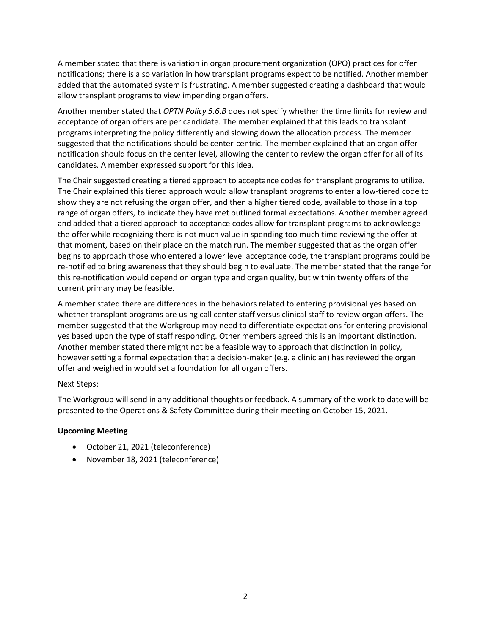A member stated that there is variation in organ procurement organization (OPO) practices for offer notifications; there is also variation in how transplant programs expect to be notified. Another member added that the automated system is frustrating. A member suggested creating a dashboard that would allow transplant programs to view impending organ offers.

Another member stated that *OPTN Policy 5.6.B* does not specify whether the time limits for review and acceptance of organ offers are per candidate. The member explained that this leads to transplant programs interpreting the policy differently and slowing down the allocation process. The member suggested that the notifications should be center-centric. The member explained that an organ offer notification should focus on the center level, allowing the center to review the organ offer for all of its candidates. A member expressed support for this idea.

The Chair suggested creating a tiered approach to acceptance codes for transplant programs to utilize. The Chair explained this tiered approach would allow transplant programs to enter a low-tiered code to show they are not refusing the organ offer, and then a higher tiered code, available to those in a top range of organ offers, to indicate they have met outlined formal expectations. Another member agreed and added that a tiered approach to acceptance codes allow for transplant programs to acknowledge the offer while recognizing there is not much value in spending too much time reviewing the offer at that moment, based on their place on the match run. The member suggested that as the organ offer begins to approach those who entered a lower level acceptance code, the transplant programs could be re-notified to bring awareness that they should begin to evaluate. The member stated that the range for this re-notification would depend on organ type and organ quality, but within twenty offers of the current primary may be feasible.

A member stated there are differences in the behaviors related to entering provisional yes based on whether transplant programs are using call center staff versus clinical staff to review organ offers. The member suggested that the Workgroup may need to differentiate expectations for entering provisional yes based upon the type of staff responding. Other members agreed this is an important distinction. Another member stated there might not be a feasible way to approach that distinction in policy, however setting a formal expectation that a decision-maker (e.g. a clinician) has reviewed the organ offer and weighed in would set a foundation for all organ offers.

### Next Steps:

The Workgroup will send in any additional thoughts or feedback. A summary of the work to date will be presented to the Operations & Safety Committee during their meeting on October 15, 2021.

### **Upcoming Meeting**

- October 21, 2021 (teleconference)
- November 18, 2021 (teleconference)